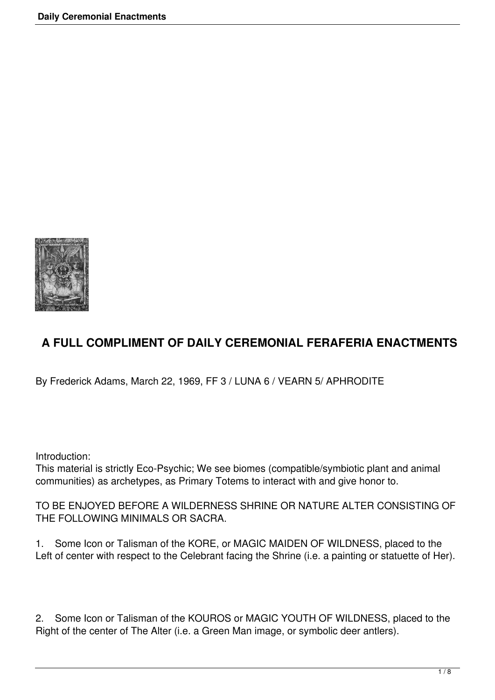

## **A FULL COMPLIMENT OF DAILY CEREMONIAL FERAFERIA ENACTMENTS**

By Frederick Adams, March 22, 1969, FF 3 / LUNA 6 / VEARN 5/ APHRODITE

Introduction:

This material is strictly Eco-Psychic; We see biomes (compatible/symbiotic plant and animal communities) as archetypes, as Primary Totems to interact with and give honor to.

TO BE ENJOYED BEFORE A WILDERNESS SHRINE OR NATURE ALTER CONSISTING OF THE FOLLOWING MINIMALS OR SACRA.

1. Some Icon or Talisman of the KORE, or MAGIC MAIDEN OF WILDNESS, placed to the Left of center with respect to the Celebrant facing the Shrine (i.e. a painting or statuette of Her).

2. Some Icon or Talisman of the KOUROS or MAGIC YOUTH OF WILDNESS, placed to the Right of the center of The Alter (i.e. a Green Man image, or symbolic deer antlers).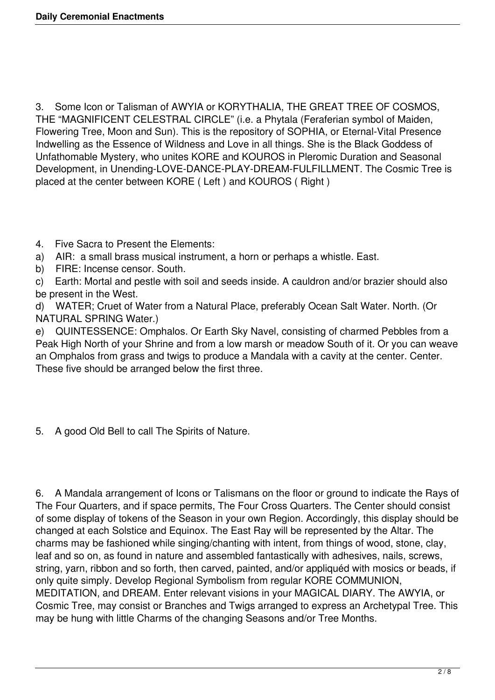3. Some Icon or Talisman of AWYIA or KORYTHALIA, THE GREAT TREE OF COSMOS, THE "MAGNIFICENT CELESTRAL CIRCLE" (i.e. a Phytala (Feraferian symbol of Maiden, Flowering Tree, Moon and Sun). This is the repository of SOPHIA, or Eternal-Vital Presence Indwelling as the Essence of Wildness and Love in all things. She is the Black Goddess of Unfathomable Mystery, who unites KORE and KOUROS in Pleromic Duration and Seasonal Development, in Unending-LOVE-DANCE-PLAY-DREAM-FULFILLMENT. The Cosmic Tree is placed at the center between KORE ( Left ) and KOUROS ( Right )

- 4. Five Sacra to Present the Elements:
- a) AIR: a small brass musical instrument, a horn or perhaps a whistle. East.
- b) FIRE: Incense censor. South.

c) Earth: Mortal and pestle with soil and seeds inside. A cauldron and/or brazier should also be present in the West.

d) WATER; Cruet of Water from a Natural Place, preferably Ocean Salt Water. North. (Or NATURAL SPRING Water.)

e) QUINTESSENCE: Omphalos. Or Earth Sky Navel, consisting of charmed Pebbles from a Peak High North of your Shrine and from a low marsh or meadow South of it. Or you can weave an Omphalos from grass and twigs to produce a Mandala with a cavity at the center. Center. These five should be arranged below the first three.

5. A good Old Bell to call The Spirits of Nature.

6. A Mandala arrangement of Icons or Talismans on the floor or ground to indicate the Rays of The Four Quarters, and if space permits, The Four Cross Quarters. The Center should consist of some display of tokens of the Season in your own Region. Accordingly, this display should be changed at each Solstice and Equinox. The East Ray will be represented by the Altar. The charms may be fashioned while singing/chanting with intent, from things of wood, stone, clay, leaf and so on, as found in nature and assembled fantastically with adhesives, nails, screws, string, yarn, ribbon and so forth, then carved, painted, and/or appliquéd with mosics or beads, if only quite simply. Develop Regional Symbolism from regular KORE COMMUNION, MEDITATION, and DREAM. Enter relevant visions in your MAGICAL DIARY. The AWYIA, or Cosmic Tree, may consist or Branches and Twigs arranged to express an Archetypal Tree. This may be hung with little Charms of the changing Seasons and/or Tree Months.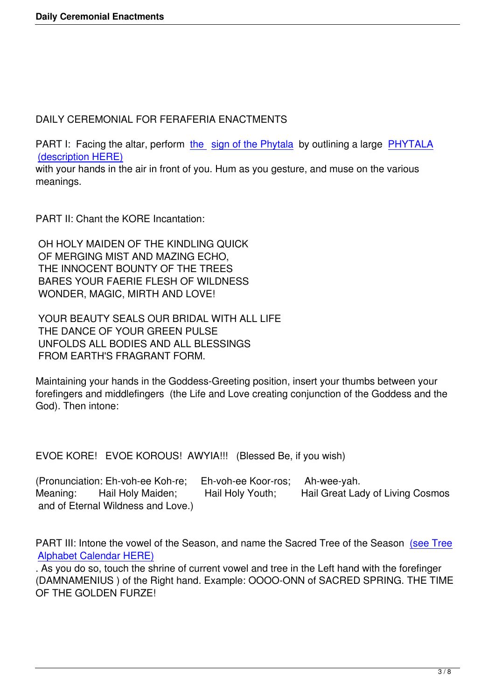DAILY CEREMONIAL FOR FERAFERIA ENACTMENTS

PART I: Facing the altar, perform the sign of the Phytala by outlining a large PHYTALA (description HERE)

with your hands in the air in front of you. Hum as you gesture, and muse on the various meanings.

PART II: Chant the KORE Incantation:

 OH HOLY MAIDEN OF THE KINDLING QUICK OF MERGING MIST AND MAZING ECHO, THE INNOCENT BOUNTY OF THE TREES BARES YOUR FAERIE FLESH OF WILDNESS WONDER, MAGIC, MIRTH AND LOVE!

 YOUR BEAUTY SEALS OUR BRIDAL WITH ALL LIFE THE DANCE OF YOUR GREEN PULSE UNFOLDS ALL BODIES AND ALL BLESSINGS FROM EARTH'S FRAGRANT FORM.

Maintaining your hands in the Goddess-Greeting position, insert your thumbs between your forefingers and middlefingers (the Life and Love creating conjunction of the Goddess and the God). Then intone:

EVOE KORE! EVOE KOROUS! AWYIA!!! (Blessed Be, if you wish)

(Pronunciation: Eh-voh-ee Koh-re; Eh-voh-ee Koor-ros; Ah-wee-yah. Meaning: Hail Holy Maiden; Hail Holy Youth; Hail Great Lady of Living Cosmos and of Eternal Wildness and Love.)

PART III: Intone the vowel of the Season, and name the Sacred Tree of the Season (see Tree Alphabet Calendar HERE)

. As you do so, touch the shrine of current vowel and tree in the Left hand with the forefinger (DAMNAMENIUS ) of the Right hand. Example: OOOO-ONN of SACRED SPRING. [THE TIME](index.php?option=com_content&view=article&id=102:tree-alphabet-calendar&catid=48:ancient-ideas&Itemid=70) [OF THE GOLDEN FURZE!](index.php?option=com_content&view=article&id=102:tree-alphabet-calendar&catid=48:ancient-ideas&Itemid=70)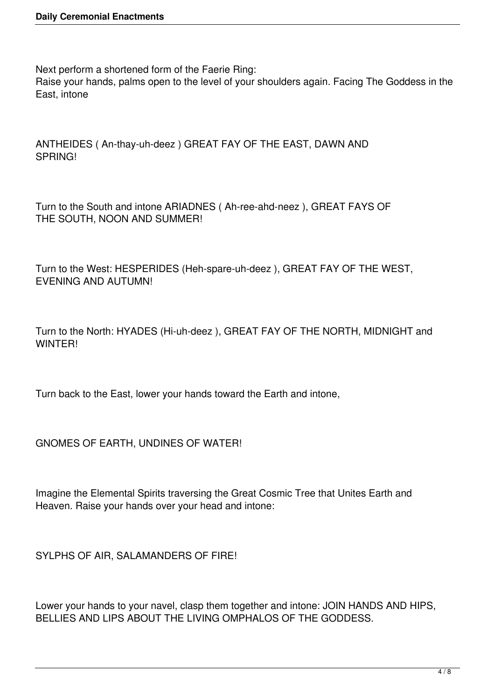Next perform a shortened form of the Faerie Ring:

Raise your hands, palms open to the level of your shoulders again. Facing The Goddess in the East, intone

ANTHEIDES ( An-thay-uh-deez ) GREAT FAY OF THE EAST, DAWN AND SPRING!

Turn to the South and intone ARIADNES ( Ah-ree-ahd-neez ), GREAT FAYS OF THE SOUTH, NOON AND SUMMER!

Turn to the West: HESPERIDES (Heh-spare-uh-deez ), GREAT FAY OF THE WEST, EVENING AND AUTUMN!

Turn to the North: HYADES (Hi-uh-deez ), GREAT FAY OF THE NORTH, MIDNIGHT and **WINTER!** 

Turn back to the East, lower your hands toward the Earth and intone,

GNOMES OF EARTH, UNDINES OF WATER!

Imagine the Elemental Spirits traversing the Great Cosmic Tree that Unites Earth and Heaven. Raise your hands over your head and intone:

SYLPHS OF AIR, SALAMANDERS OF FIRE!

Lower your hands to your navel, clasp them together and intone: JOIN HANDS AND HIPS, BELLIES AND LIPS ABOUT THE LIVING OMPHALOS OF THE GODDESS.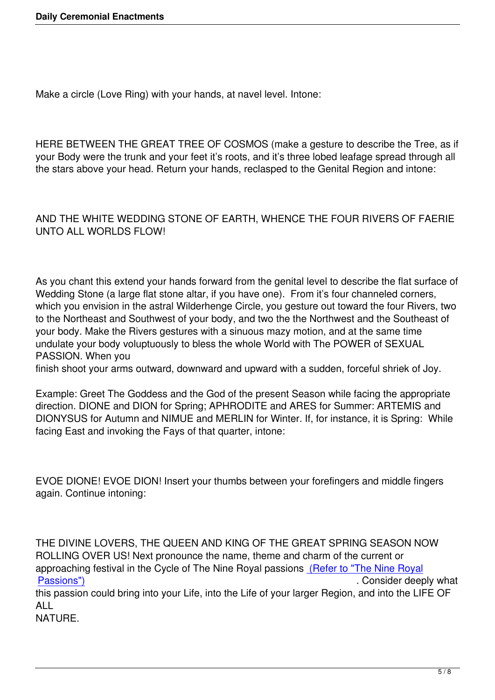Make a circle (Love Ring) with your hands, at navel level. Intone:

HERE BETWEEN THE GREAT TREE OF COSMOS (make a gesture to describe the Tree, as if your Body were the trunk and your feet it's roots, and it's three lobed leafage spread through all the stars above your head. Return your hands, reclasped to the Genital Region and intone:

## AND THE WHITE WEDDING STONE OF EARTH, WHENCE THE FOUR RIVERS OF FAERIE UNTO ALL WORLDS FLOW!

As you chant this extend your hands forward from the genital level to describe the flat surface of Wedding Stone (a large flat stone altar, if you have one). From it's four channeled corners, which you envision in the astral Wilderhenge Circle, you gesture out toward the four Rivers, two to the Northeast and Southwest of your body, and two the the Northwest and the Southeast of your body. Make the Rivers gestures with a sinuous mazy motion, and at the same time undulate your body voluptuously to bless the whole World with The POWER of SEXUAL PASSION. When you

finish shoot your arms outward, downward and upward with a sudden, forceful shriek of Joy.

Example: Greet The Goddess and the God of the present Season while facing the appropriate direction. DIONE and DION for Spring; APHRODITE and ARES for Summer: ARTEMIS and DIONYSUS for Autumn and NIMUE and MERLIN for Winter. If, for instance, it is Spring: While facing East and invoking the Fays of that quarter, intone:

EVOE DIONE! EVOE DION! Insert your thumbs between your forefingers and middle fingers again. Continue intoning:

THE DIVINE LOVERS, THE QUEEN AND KING OF THE GREAT SPRING SEASON NOW ROLLING OVER US! Next pronounce the name, theme and charm of the current or approaching festival in the Cycle of The Nine Royal passions (Refer to "The Nine Royal Passions") . Consider deeply what the end of the end of the end of the end of the end of the end of the end of the end of the end of the end of the end of the end of the end of the end of the end of the end of the end of t

this passion could bring into your Life, into the Life of your larger Region, and into the LIFE OF ALL

[NATURE.](index.php?option=com_content&view=article&id=120:the-nine-royal-passions-of-the-year&catid=61:founders-writings&Itemid=99)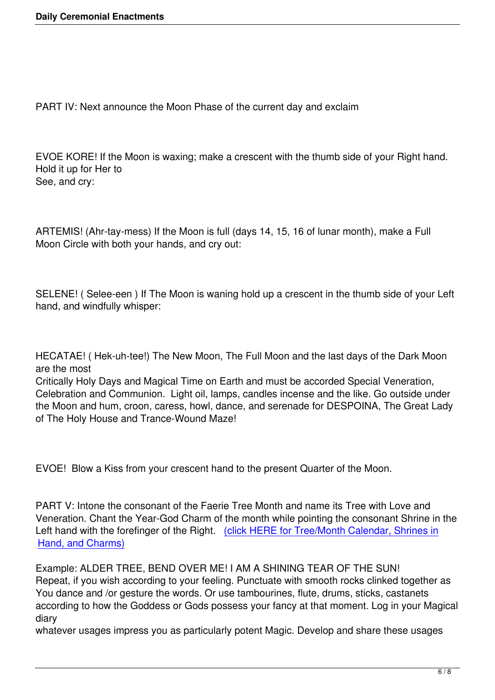PART IV: Next announce the Moon Phase of the current day and exclaim

EVOE KORE! If the Moon is waxing; make a crescent with the thumb side of your Right hand. Hold it up for Her to See, and cry:

ARTEMIS! (Ahr-tay-mess) If the Moon is full (days 14, 15, 16 of lunar month), make a Full Moon Circle with both your hands, and cry out:

SELENE! ( Selee-een ) If The Moon is waning hold up a crescent in the thumb side of your Left hand, and windfully whisper:

HECATAE! ( Hek-uh-tee!) The New Moon, The Full Moon and the last days of the Dark Moon are the most

Critically Holy Days and Magical Time on Earth and must be accorded Special Veneration, Celebration and Communion. Light oil, lamps, candles incense and the like. Go outside under the Moon and hum, croon, caress, howl, dance, and serenade for DESPOINA, The Great Lady of The Holy House and Trance-Wound Maze!

EVOE! Blow a Kiss from your crescent hand to the present Quarter of the Moon.

PART V: Intone the consonant of the Faerie Tree Month and name its Tree with Love and Veneration. Chant the Year-God Charm of the month while pointing the consonant Shrine in the Left hand with the forefinger of the Right. (click HERE for Tree/Month Calendar, Shrines in Hand, and Charms)

Example: ALDER TREE, BEND OVER M[E! I AM A SHINING TEAR OF THE SUN!](index.php?option=com_content&view=article&id=102:tree-alphabet-calendar&catid=48:ancient-ideas&Itemid=70) [Repeat, if you wish a](index.php?option=com_content&view=article&id=102:tree-alphabet-calendar&catid=48:ancient-ideas&Itemid=70)ccording to your feeling. Punctuate with smooth rocks clinked together as You dance and /or gesture the words. Or use tambourines, flute, drums, sticks, castanets according to how the Goddess or Gods possess your fancy at that moment. Log in your Magical diary

whatever usages impress you as particularly potent Magic. Develop and share these usages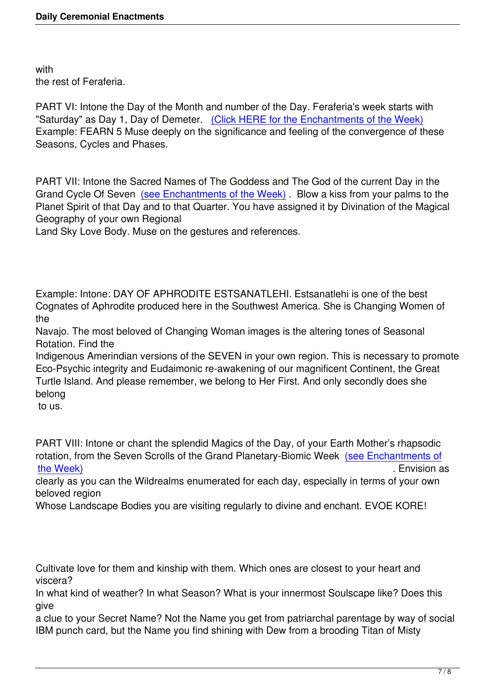with the rest of Feraferia.

PART VI: Intone the Day of the Month and number of the Day. Feraferia's week starts with "Saturday" as Day 1, Day of Demeter. (Click HERE for the Enchantments of the Week) Example: FEARN 5 Muse deeply on the significance and feeling of the convergence of these Seasons, Cycles and Phases.

PART VII: Intone the Sacred Names of The Goddess and The God of the current Day in the Grand Cycle Of Seven (see Enchantments of the Week). Blow a kiss from your palms to the Planet Spirit of that Day and to that Quarter. You have assigned it by Divination of the Magical Geography of your own Regional

Land Sky Love Body. [Muse on the gestures and referenc](index.php?option=com_content&view=article&id=117:enchantments-of-the-week&catid=45:daily-practice&Itemid=65)es.

Example: Intone: DAY OF APHRODITE ESTSANATLEHI. Estsanatlehi is one of the best Cognates of Aphrodite produced here in the Southwest America. She is Changing Women of the

Navajo. The most beloved of Changing Woman images is the altering tones of Seasonal Rotation. Find the

Indigenous Amerindian versions of the SEVEN in your own region. This is necessary to promote Eco-Psychic integrity and Eudaimonic re-awakening of our magnificent Continent, the Great Turtle Island. And please remember, we belong to Her First. And only secondly does she belong

to us.

PART VIII: Intone or chant the splendid Magics of the Day, of your Earth Mother's rhapsodic rotation, from the Seven Scrolls of the Grand Planetary-Biomic Week (see Enchantments of the Week) . Envision as the week of the week of the week of the week of the week of the week of the week of the

clearly as you can the Wildrealms enumerated for each day, especially in terms of your own beloved region

[Whose Lan](index.php?option=com_content&view=article&id=117:enchantments-of-the-week&catid=45:daily-practice&Itemid=65)dscape Bodies you are visiting regularly to divine and enc[hant. EVOE KORE!](index.php?option=com_content&view=article&id=117:enchantments-of-the-week&catid=45:daily-practice&Itemid=65)

Cultivate love for them and kinship with them. Which ones are closest to your heart and viscera?

In what kind of weather? In what Season? What is your innermost Soulscape like? Does this give

a clue to your Secret Name? Not the Name you get from patriarchal parentage by way of social IBM punch card, but the Name you find shining with Dew from a brooding Titan of Misty